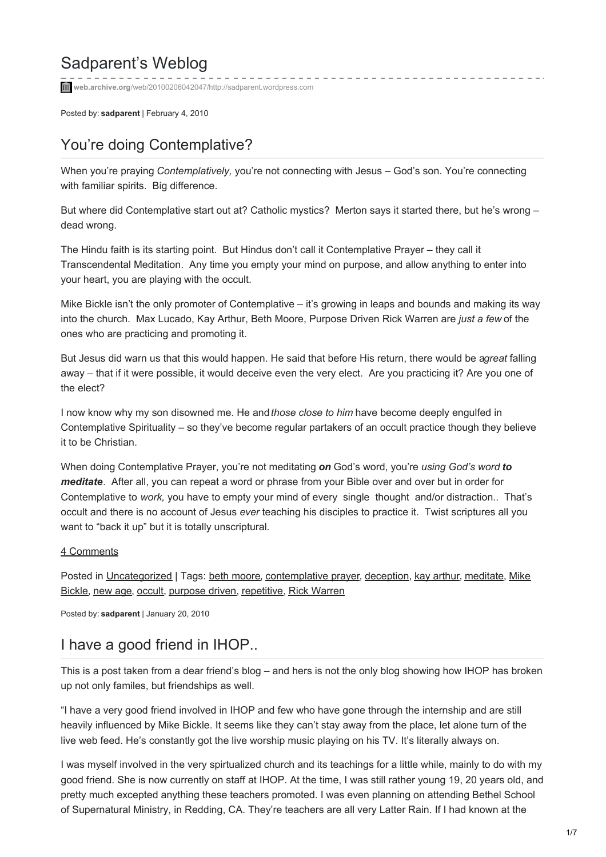# Sadparent's Weblog

**web.archive.org**[/web/20100206042047/http://sadparent.wordpress.com](http://web.archive.org/web/20100206042047/http://sadparent.wordpress.com/)

Posted by: **sadparent** | February 4, 2010

## [You're doing Contemplative?](http://web.archive.org/web/20100206042047/http://sadparent.wordpress.com/2010/02/04/youre-doing-contemplative/)

When you're praying *Contemplatively,* you're not connecting with Jesus – God's son. You're connecting with familiar spirits. Big difference.

But where did Contemplative start out at? Catholic mystics? Merton says it started there, but he's wrong dead wrong.

The Hindu faith is its starting point. But Hindus don't call it Contemplative Prayer – they call it Transcendental Meditation. Any time you empty your mind on purpose, and allow anything to enter into your heart, you are playing with the occult.

Mike Bickle isn't the only promoter of Contemplative – it's growing in leaps and bounds and making its way into the church. Max Lucado, Kay Arthur, Beth Moore, Purpose Driven Rick Warren are *just a few* of the ones who are practicing and promoting it.

But Jesus did warn us that this would happen. He said that before His return, there would be agreat falling away – that if it were possible, it would deceive even the very elect. Are you practicing it? Are you one of the elect?

I now know why my son disowned me. He and *those close to him* have become deeply engulfed in Contemplative Spirituality – so they've become regular partakers of an occult practice though they believe it to be Christian.

When doing Contemplative Prayer, you're not meditating *on* God's word, you're *using God's word to meditate*. After all, you can repeat a word or phrase from your Bible over and over but in order for Contemplative to *work,* you have to empty your mind of every single thought and/or distraction.. That's occult and there is no account of Jesus *ever* teaching his disciples to practice it. Twist scriptures all you want to "back it up" but it is totally unscriptural.

#### [4 Comments](http://web.archive.org/web/20100206042047/http://sadparent.wordpress.com/2010/02/04/youre-doing-contemplative/#comments)

Posted in [Uncategorized](http://web.archive.org/web/20100206042047/http://sadparent.wordpress.com/category/uncategorized/) [| Tags: beth moore, contemplative prayer, deception, kay arthur, meditate, Mike](http://web.archive.org/web/20100206042047/http://en.wordpress.com/tag/mike-bickle/) Bickle, [new age](http://web.archive.org/web/20100206042047/http://en.wordpress.com/tag/new-age/), [occult](http://web.archive.org/web/20100206042047/http://en.wordpress.com/tag/occult/), [purpose driven](http://web.archive.org/web/20100206042047/http://en.wordpress.com/tag/purpose-driven/), [repetitive](http://web.archive.org/web/20100206042047/http://en.wordpress.com/tag/repetitive/), [Rick Warren](http://web.archive.org/web/20100206042047/http://en.wordpress.com/tag/rick-warren/)

Posted by: **sadparent** | January 20, 2010

### [I have a good friend in IHOP..](http://web.archive.org/web/20100206042047/http://sadparent.wordpress.com/2010/01/20/i-have-a-good-friend-in-ihop/)

This is a post taken from a dear friend's blog – and hers is not the only blog showing how IHOP has broken up not only familes, but friendships as well.

"I have a very good friend involved in IHOP and few who have gone through the internship and are still heavily influenced by Mike Bickle. It seems like they can't stay away from the place, let alone turn of the live web feed. He's constantly got the live worship music playing on his TV. It's literally always on.

I was myself involved in the very spirtualized church and its teachings for a little while, mainly to do with my good friend. She is now currently on staff at IHOP. At the time, I was still rather young 19, 20 years old, and pretty much excepted anything these teachers promoted. I was even planning on attending Bethel School of Supernatural Ministry, in Redding, CA. They're teachers are all very Latter Rain. If I had known at the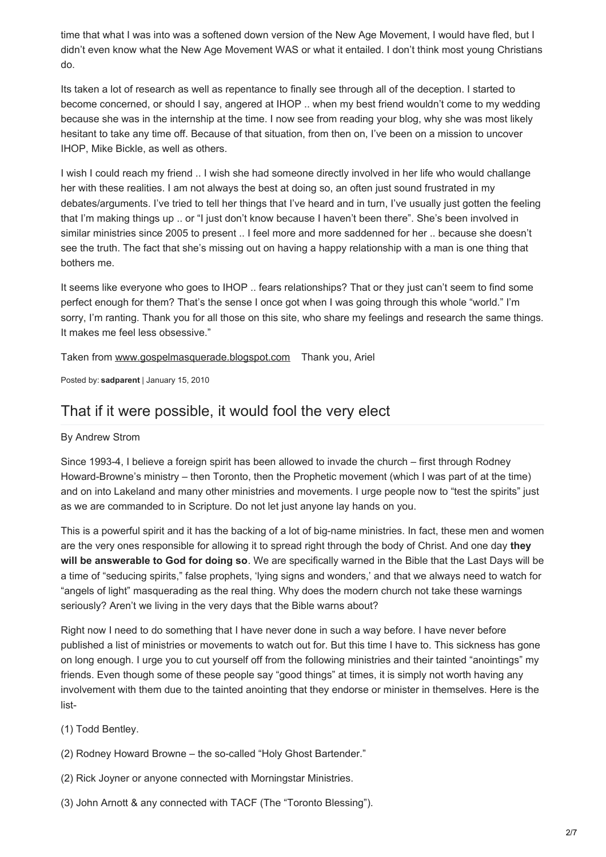time that what I was into was a softened down version of the New Age Movement, I would have fled, but I didn't even know what the New Age Movement WAS or what it entailed. I don't think most young Christians do.

Its taken a lot of research as well as repentance to finally see through all of the deception. I started to become concerned, or should I say, angered at IHOP .. when my best friend wouldn't come to my wedding because she was in the internship at the time. I now see from reading your blog, why she was most likely hesitant to take any time off. Because of that situation, from then on, I've been on a mission to uncover IHOP, Mike Bickle, as well as others.

I wish I could reach my friend .. I wish she had someone directly involved in her life who would challange her with these realities. I am not always the best at doing so, an often just sound frustrated in my debates/arguments. I've tried to tell her things that I've heard and in turn, I've usually just gotten the feeling that I'm making things up .. or "I just don't know because I haven't been there". She's been involved in similar ministries since 2005 to present .. I feel more and more saddenned for her .. because she doesn't see the truth. The fact that she's missing out on having a happy relationship with a man is one thing that bothers me.

It seems like everyone who goes to IHOP .. fears relationships? That or they just can't seem to find some perfect enough for them? That's the sense I once got when I was going through this whole "world." I'm sorry, I'm ranting. Thank you for all those on this site, who share my feelings and research the same things. It makes me feel less obsessive."

Taken from [www.gospelmasquerade.blogspot.com](http://web.archive.org/web/20100206042047/http://www.gospelmasquerade.blogspot.com/) Thank you, Ariel

Posted by: **sadparent** | January 15, 2010

### [That if it were possible, it would fool the very elect](http://web.archive.org/web/20100206042047/http://sadparent.wordpress.com/2010/01/15/that-if-it-were-possible-it-would-fool-the-very-elect/)

#### By Andrew Strom

Since 1993-4, I believe a foreign spirit has been allowed to invade the church – first through Rodney Howard-Browne's ministry – then Toronto, then the Prophetic movement (which I was part of at the time) and on into Lakeland and many other ministries and movements. I urge people now to "test the spirits" just as we are commanded to in Scripture. Do not let just anyone lay hands on you.

This is a powerful spirit and it has the backing of a lot of big-name ministries. In fact, these men and women are the very ones responsible for allowing it to spread right through the body of Christ. And one day **they will be answerable to God for doing so**. We are specifically warned in the Bible that the Last Days will be a time of "seducing spirits," false prophets, 'lying signs and wonders,' and that we always need to watch for "angels of light" masquerading as the real thing. Why does the modern church not take these warnings seriously? Aren't we living in the very days that the Bible warns about?

Right now I need to do something that I have never done in such a way before. I have never before published a list of ministries or movements to watch out for. But this time I have to. This sickness has gone on long enough. I urge you to cut yourself off from the following ministries and their tainted "anointings" my friends. Even though some of these people say "good things" at times, it is simply not worth having any involvement with them due to the tainted anointing that they endorse or minister in themselves. Here is the list-

- (1) Todd Bentley.
- (2) Rodney Howard Browne the so-called "Holy Ghost Bartender."
- (2) Rick Joyner or anyone connected with Morningstar Ministries.
- (3) John Arnott & any connected with TACF (The "Toronto Blessing").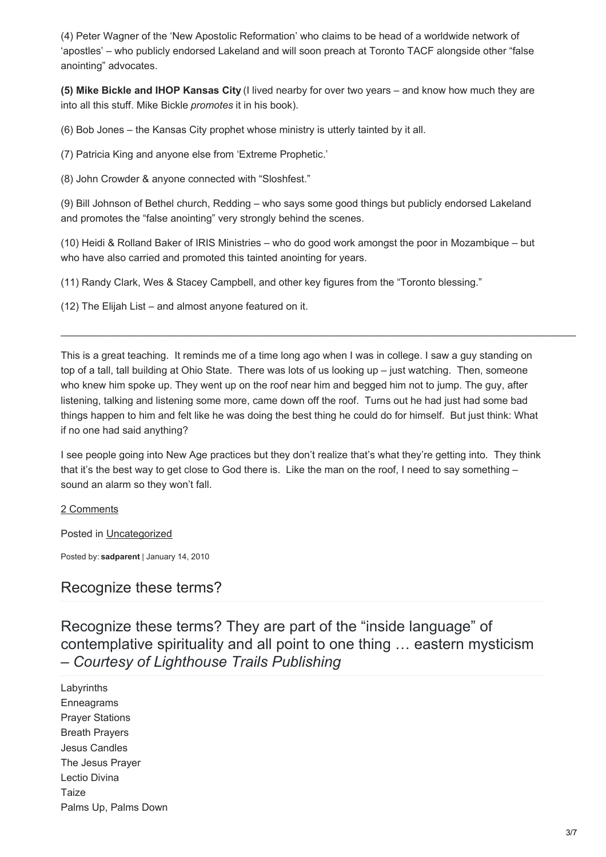(4) Peter Wagner of the 'New Apostolic Reformation' who claims to be head of a worldwide network of 'apostles' – who publicly endorsed Lakeland and will soon preach at Toronto TACF alongside other "false anointing" advocates.

**(5) Mike Bickle and IHOP Kansas City** (I lived nearby for over two years – and know how much they are into all this stuff. Mike Bickle *promotes* it in his book).

(6) Bob Jones – the Kansas City prophet whose ministry is utterly tainted by it all.

(7) Patricia King and anyone else from 'Extreme Prophetic.'

(8) John Crowder & anyone connected with "Sloshfest."

(9) Bill Johnson of Bethel church, Redding – who says some good things but publicly endorsed Lakeland and promotes the "false anointing" very strongly behind the scenes.

(10) Heidi & Rolland Baker of IRIS Ministries – who do good work amongst the poor in Mozambique – but who have also carried and promoted this tainted anointing for years.

(11) Randy Clark, Wes & Stacey Campbell, and other key figures from the "Toronto blessing."

(12) The Elijah List – and almost anyone featured on it.

This is a great teaching. It reminds me of a time long ago when I was in college. I saw a guy standing on top of a tall, tall building at Ohio State. There was lots of us looking up – just watching. Then, someone who knew him spoke up. They went up on the roof near him and begged him not to jump. The guy, after listening, talking and listening some more, came down off the roof. Turns out he had just had some bad things happen to him and felt like he was doing the best thing he could do for himself. But just think: What if no one had said anything?

I see people going into New Age practices but they don't realize that's what they're getting into. They think that it's the best way to get close to God there is. Like the man on the roof, I need to say something – sound an alarm so they won't fall.

#### [2 Comments](http://web.archive.org/web/20100206042047/http://sadparent.wordpress.com/2010/01/15/that-if-it-were-possible-it-would-fool-the-very-elect/#comments)

Posted in [Uncategorized](http://web.archive.org/web/20100206042047/http://sadparent.wordpress.com/category/uncategorized/)

Posted by: **sadparent** | January 14, 2010

### [Recognize these terms?](http://web.archive.org/web/20100206042047/http://sadparent.wordpress.com/2010/01/14/recognize-these-terms/)

Recognize these terms? They are part of the "inside language" of contemplative spirituality and all point to one thing … eastern mysticism – *Courtesy of Lighthouse Trails Publishing*

Labyrinths Enneagrams Prayer Stations Breath Prayers Jesus Candles The Jesus Prayer Lectio Divina Taize Palms Up, Palms Down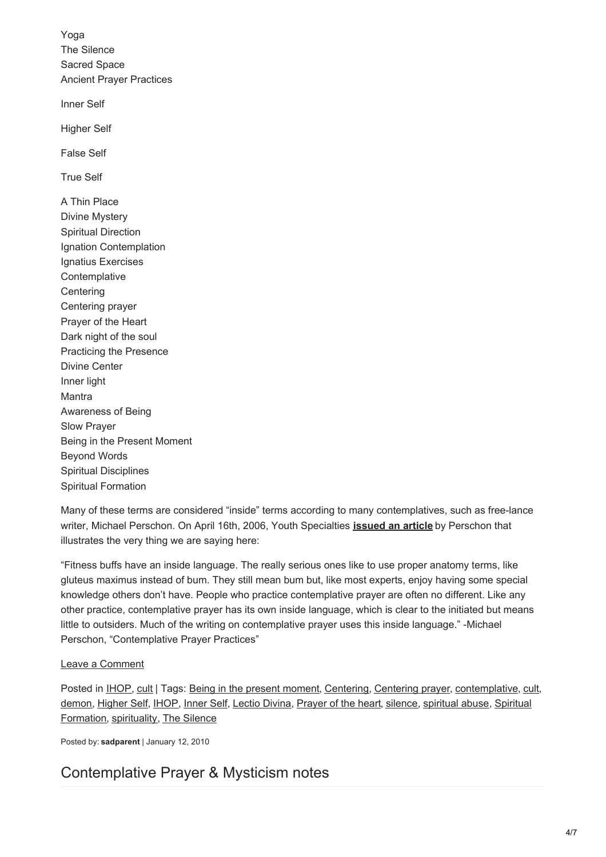Yoga The Silence Sacred Space Ancient Prayer Practices Inner Self Higher Self False Self True Self A Thin Place Divine Mystery Spiritual Direction Ignation Contemplation Ignatius Exercises **Contemplative Centering** Centering prayer Prayer of the Heart Dark night of the soul Practicing the Presence Divine Center Inner light Mantra Awareness of Being Slow Prayer Being in the Present Moment Beyond Words Spiritual Disciplines Spiritual Formation

Many of these terms are considered "inside" terms according to many contemplatives, such as free-lance writer, Michael Perschon. On April 16th, 2006, Youth Specialties **[issued an article](http://web.archive.org/web/20100206042047/http://support.wordpress.com/advertising/)** by Perschon that illustrates the very thing we are saying here:

"Fitness buffs have an inside language. The really serious ones like to use proper anatomy terms, like gluteus maximus instead of bum. They still mean bum but, like most experts, enjoy having some special knowledge others don't have. People who practice contemplative prayer are often no different. Like any other practice, contemplative prayer has its own inside language, which is clear to the initiated but means little to outsiders. Much of the writing on contemplative prayer uses this inside language." -Michael Perschon, "Contemplative Prayer Practices"

#### [Leave a Comment](http://web.archive.org/web/20100206042047/http://sadparent.wordpress.com/2010/01/14/recognize-these-terms/#respond)

Posted in [IHOP](http://web.archive.org/web/20100206042047/http://en.wordpress.com/tag/ihop/), [cult](http://web.archive.org/web/20100206042047/http://en.wordpress.com/tag/cult/) | Tags: [Being in the present moment](http://web.archive.org/web/20100206042047/http://en.wordpress.com/tag/being-in-the-present-moment/), [Centering](http://web.archive.org/web/20100206042047/http://en.wordpress.com/tag/centering/), [Centering prayer](http://web.archive.org/web/20100206042047/http://en.wordpress.com/tag/centering-prayer/), [contemplative](http://web.archive.org/web/20100206042047/http://en.wordpress.com/tag/contemplative/), cult, [demon, Higher Self, IHOP, Inner Self, Lectio Divina, Prayer of the heart, silence, spiritual abuse, Spiritual](http://web.archive.org/web/20100206042047/http://en.wordpress.com/tag/spiritual-formation/) Formation, [spirituality](http://web.archive.org/web/20100206042047/http://en.wordpress.com/tag/spirituality/), [The Silence](http://web.archive.org/web/20100206042047/http://en.wordpress.com/tag/the-silence/)

Posted by: **sadparent** | January 12, 2010

## [Contemplative Prayer & Mysticism notes](http://web.archive.org/web/20100206042047/http://sadparent.wordpress.com/2010/01/12/contemplative-prayer-mysticism-notes/)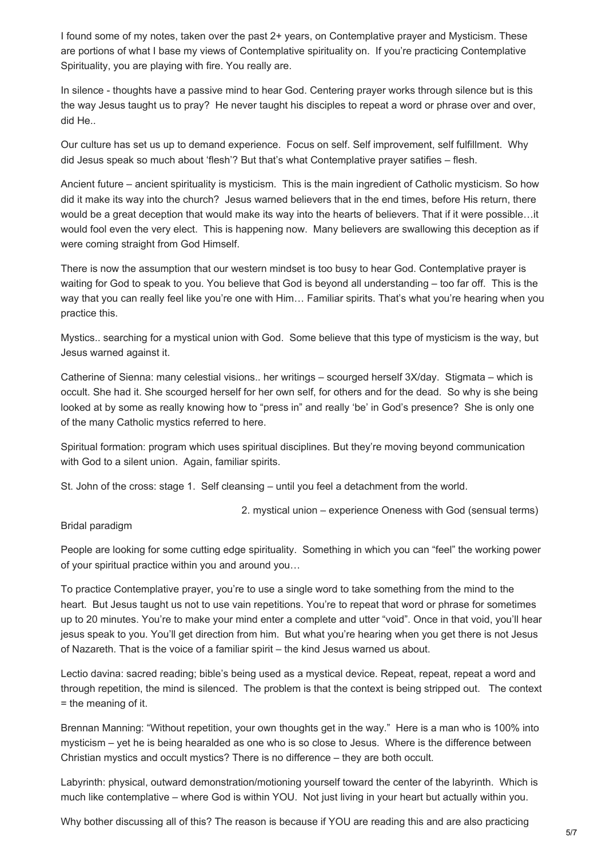I found some of my notes, taken over the past 2+ years, on Contemplative prayer and Mysticism. These are portions of what I base my views of Contemplative spirituality on. If you're practicing Contemplative Spirituality, you are playing with fire. You really are.

In silence - thoughts have a passive mind to hear God. Centering prayer works through silence but is this the way Jesus taught us to pray? He never taught his disciples to repeat a word or phrase over and over, did He..

Our culture has set us up to demand experience. Focus on self. Self improvement, self fulfillment. Why did Jesus speak so much about 'flesh'? But that's what Contemplative prayer satifies – flesh.

Ancient future – ancient spirituality is mysticism. This is the main ingredient of Catholic mysticism. So how did it make its way into the church? Jesus warned believers that in the end times, before His return, there would be a great deception that would make its way into the hearts of believers. That if it were possible…it would fool even the very elect. This is happening now. Many believers are swallowing this deception as if were coming straight from God Himself.

There is now the assumption that our western mindset is too busy to hear God. Contemplative prayer is waiting for God to speak to you. You believe that God is beyond all understanding – too far off. This is the way that you can really feel like you're one with Him... Familiar spirits. That's what you're hearing when you practice this.

Mystics.. searching for a mystical union with God. Some believe that this type of mysticism is the way, but Jesus warned against it.

Catherine of Sienna: many celestial visions.. her writings – scourged herself 3X/day. Stigmata – which is occult. She had it. She scourged herself for her own self, for others and for the dead. So why is she being looked at by some as really knowing how to "press in" and really 'be' in God's presence? She is only one of the many Catholic mystics referred to here.

Spiritual formation: program which uses spiritual disciplines. But they're moving beyond communication with God to a silent union. Again, familiar spirits.

St. John of the cross: stage 1. Self cleansing – until you feel a detachment from the world.

2. mystical union – experience Oneness with God (sensual terms)

#### Bridal paradigm

People are looking for some cutting edge spirituality. Something in which you can "feel" the working power of your spiritual practice within you and around you…

To practice Contemplative prayer, you're to use a single word to take something from the mind to the heart. But Jesus taught us not to use vain repetitions. You're to repeat that word or phrase for sometimes up to 20 minutes. You're to make your mind enter a complete and utter "void". Once in that void, you'll hear jesus speak to you. You'll get direction from him. But what you're hearing when you get there is not Jesus of Nazareth. That is the voice of a familiar spirit – the kind Jesus warned us about.

Lectio davina: sacred reading; bible's being used as a mystical device. Repeat, repeat, repeat a word and through repetition, the mind is silenced. The problem is that the context is being stripped out. The context = the meaning of it.

Brennan Manning: "Without repetition, your own thoughts get in the way." Here is a man who is 100% into mysticism – yet he is being hearalded as one who is so close to Jesus. Where is the difference between Christian mystics and occult mystics? There is no difference – they are both occult.

Labyrinth: physical, outward demonstration/motioning yourself toward the center of the labyrinth. Which is much like contemplative – where God is within YOU. Not just living in your heart but actually within you.

Why bother discussing all of this? The reason is because if YOU are reading this and are also practicing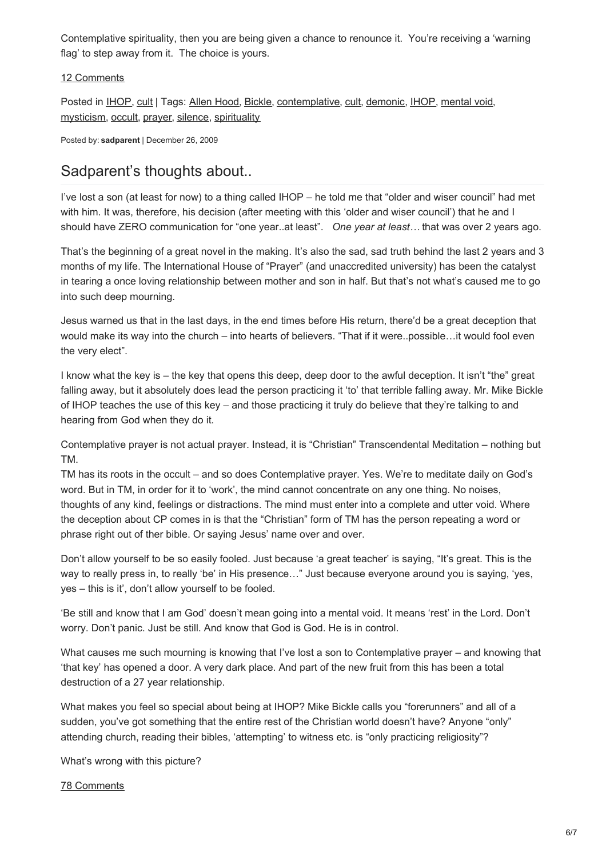Contemplative spirituality, then you are being given a chance to renounce it. You're receiving a 'warning flag' to step away from it. The choice is yours.

#### [12 Comments](http://web.archive.org/web/20100206042047/http://sadparent.wordpress.com/2010/01/12/contemplative-prayer-mysticism-notes/#comments)

Posted in [IHOP](http://web.archive.org/web/20100206042047/http://en.wordpress.com/tag/ihop/), [cult](http://web.archive.org/web/20100206042047/http://en.wordpress.com/tag/cult/) | Tags: [Allen Hood](http://web.archive.org/web/20100206042047/http://en.wordpress.com/tag/allen-hood/), [Bickle](http://web.archive.org/web/20100206042047/http://en.wordpress.com/tag/bickle/), [contemplative](http://web.archive.org/web/20100206042047/http://en.wordpress.com/tag/contemplative/), [cult](http://web.archive.org/web/20100206042047/http://en.wordpress.com/tag/cult/), [demonic](http://web.archive.org/web/20100206042047/http://en.wordpress.com/tag/demonic/), [IHOP](http://web.archive.org/web/20100206042047/http://en.wordpress.com/tag/ihop/), [mental void](http://web.archive.org/web/20100206042047/http://en.wordpress.com/tag/mental-void/), [mysticism](http://web.archive.org/web/20100206042047/http://en.wordpress.com/tag/mysticism/), [occult](http://web.archive.org/web/20100206042047/http://en.wordpress.com/tag/occult/), [prayer](http://web.archive.org/web/20100206042047/http://en.wordpress.com/tag/prayer/), [silence](http://web.archive.org/web/20100206042047/http://en.wordpress.com/tag/silence/), [spirituality](http://web.archive.org/web/20100206042047/http://en.wordpress.com/tag/spirituality/)

Posted by: **sadparent** | December 26, 2009

### [Sadparent's thoughts about..](http://web.archive.org/web/20100206042047/http://sadparent.wordpress.com/2009/12/26/sadparents-thoughts-about/)

I've lost a son (at least for now) to a thing called IHOP – he told me that "older and wiser council" had met with him. It was, therefore, his decision (after meeting with this 'older and wiser council') that he and I should have ZERO communication for "one year..at least". *One year at least…* that was over 2 years ago.

That's the beginning of a great novel in the making. It's also the sad, sad truth behind the last 2 years and 3 months of my life. The International House of "Prayer" (and unaccredited university) has been the catalyst in tearing a once loving relationship between mother and son in half. But that's not what's caused me to go into such deep mourning.

Jesus warned us that in the last days, in the end times before His return, there'd be a great deception that would make its way into the church – into hearts of believers. "That if it were..possible…it would fool even the very elect".

I know what the key is – the key that opens this deep, deep door to the awful deception. It isn't "the" great falling away, but it absolutely does lead the person practicing it 'to' that terrible falling away. Mr. Mike Bickle of IHOP teaches the use of this key – and those practicing it truly do believe that they're talking to and hearing from God when they do it.

Contemplative prayer is not actual prayer. Instead, it is "Christian" Transcendental Meditation – nothing but TM.

TM has its roots in the occult – and so does Contemplative prayer. Yes. We're to meditate daily on God's word. But in TM, in order for it to 'work', the mind cannot concentrate on any one thing. No noises, thoughts of any kind, feelings or distractions. The mind must enter into a complete and utter void. Where the deception about CP comes in is that the "Christian" form of TM has the person repeating a word or phrase right out of ther bible. Or saying Jesus' name over and over.

Don't allow yourself to be so easily fooled. Just because 'a great teacher' is saying, "It's great. This is the way to really press in, to really 'be' in His presence…" Just because everyone around you is saying, 'yes, yes – this is it', don't allow yourself to be fooled.

'Be still and know that I am God' doesn't mean going into a mental void. It means 'rest' in the Lord. Don't worry. Don't panic. Just be still. And know that God is God. He is in control.

What causes me such mourning is knowing that I've lost a son to Contemplative prayer – and knowing that 'that key' has opened a door. A very dark place. And part of the new fruit from this has been a total destruction of a 27 year relationship.

What makes you feel so special about being at IHOP? Mike Bickle calls you "forerunners" and all of a sudden, you've got something that the entire rest of the Christian world doesn't have? Anyone "only" attending church, reading their bibles, 'attempting' to witness etc. is "only practicing religiosity"?

What's wrong with this picture?

#### [78 Comments](http://web.archive.org/web/20100206042047/http://sadparent.wordpress.com/2009/12/26/sadparents-thoughts-about/#comments)